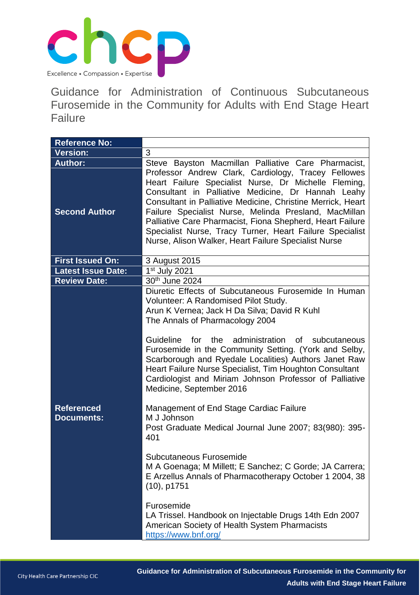

Guidance for Administration of Continuous Subcutaneous Furosemide in the Community for Adults with End Stage Heart Failure

| <b>Reference No:</b>                   |                                                                                                                                                                                                                                                                                                                                                                                                                                                                                                               |
|----------------------------------------|---------------------------------------------------------------------------------------------------------------------------------------------------------------------------------------------------------------------------------------------------------------------------------------------------------------------------------------------------------------------------------------------------------------------------------------------------------------------------------------------------------------|
| <b>Version:</b>                        | 3                                                                                                                                                                                                                                                                                                                                                                                                                                                                                                             |
| <b>Author:</b>                         | Steve Bayston Macmillan Palliative Care Pharmacist,                                                                                                                                                                                                                                                                                                                                                                                                                                                           |
| <b>Second Author</b>                   | Professor Andrew Clark, Cardiology, Tracey Fellowes<br>Heart Failure Specialist Nurse, Dr Michelle Fleming,<br>Consultant in Palliative Medicine, Dr Hannah Leahy<br>Consultant in Palliative Medicine, Christine Merrick, Heart<br>Failure Specialist Nurse, Melinda Presland, MacMillan<br>Palliative Care Pharmacist, Fiona Shepherd, Heart Failure<br>Specialist Nurse, Tracy Turner, Heart Failure Specialist<br>Nurse, Alison Walker, Heart Failure Specialist Nurse                                    |
| <b>First Issued On:</b>                | 3 August 2015                                                                                                                                                                                                                                                                                                                                                                                                                                                                                                 |
| <b>Latest Issue Date:</b>              | 1 <sup>st</sup> July 2021                                                                                                                                                                                                                                                                                                                                                                                                                                                                                     |
| <b>Review Date:</b>                    | 30 <sup>th</sup> June 2024                                                                                                                                                                                                                                                                                                                                                                                                                                                                                    |
|                                        | Diuretic Effects of Subcutaneous Furosemide In Human<br>Volunteer: A Randomised Pilot Study.<br>Arun K Vernea; Jack H Da Silva; David R Kuhl<br>The Annals of Pharmacology 2004<br>administration of<br>Guideline for the<br>subcutaneous<br>Furosemide in the Community Setting. (York and Selby,<br>Scarborough and Ryedale Localities) Authors Janet Raw<br>Heart Failure Nurse Specialist, Tim Houghton Consultant<br>Cardiologist and Miriam Johnson Professor of Palliative<br>Medicine, September 2016 |
| <b>Referenced</b><br><b>Documents:</b> | Management of End Stage Cardiac Failure<br>M J Johnson<br>Post Graduate Medical Journal June 2007; 83(980): 395-<br>401<br>Subcutaneous Furosemide                                                                                                                                                                                                                                                                                                                                                            |
|                                        | M A Goenaga; M Millett; E Sanchez; C Gorde; JA Carrera;<br>E Arzellus Annals of Pharmacotherapy October 1 2004, 38<br>$(10)$ , p1751                                                                                                                                                                                                                                                                                                                                                                          |
|                                        | Furosemide<br>LA Trissel. Handbook on Injectable Drugs 14th Edn 2007<br>American Society of Health System Pharmacists<br>https://www.bnf.org/                                                                                                                                                                                                                                                                                                                                                                 |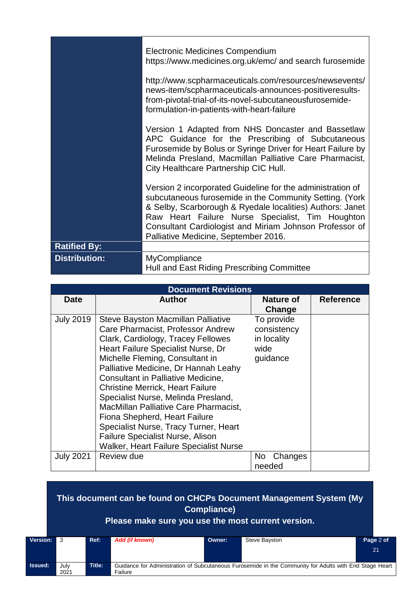|                      | <b>Electronic Medicines Compendium</b><br>https://www.medicines.org.uk/emc/ and search furosemide<br>http://www.scpharmaceuticals.com/resources/newsevents/<br>news-item/scpharmaceuticals-announces-positiveresults-<br>from-pivotal-trial-of-its-novel-subcutaneousfurosemide-<br>formulation-in-patients-with-heart-failure            |
|----------------------|-------------------------------------------------------------------------------------------------------------------------------------------------------------------------------------------------------------------------------------------------------------------------------------------------------------------------------------------|
|                      | Version 1 Adapted from NHS Doncaster and Bassetlaw<br>APC Guidance for the Prescribing of Subcutaneous<br>Furosemide by Bolus or Syringe Driver for Heart Failure by<br>Melinda Presland, Macmillan Palliative Care Pharmacist,<br>City Healthcare Partnership CIC Hull.                                                                  |
|                      | Version 2 incorporated Guideline for the administration of<br>subcutaneous furosemide in the Community Setting. (York<br>& Selby, Scarborough & Ryedale localities) Authors: Janet<br>Raw Heart Failure Nurse Specialist, Tim Houghton<br>Consultant Cardiologist and Miriam Johnson Professor of<br>Palliative Medicine, September 2016. |
| <b>Ratified By:</b>  |                                                                                                                                                                                                                                                                                                                                           |
| <b>Distribution:</b> | MyCompliance<br>Hull and East Riding Prescribing Committee                                                                                                                                                                                                                                                                                |

|                  | <b>Document Revisions</b>                                                                                                                                                                                                                                                                                                                                                                                                                                                                                                                                                           |                                                              |                  |  |  |  |  |  |  |
|------------------|-------------------------------------------------------------------------------------------------------------------------------------------------------------------------------------------------------------------------------------------------------------------------------------------------------------------------------------------------------------------------------------------------------------------------------------------------------------------------------------------------------------------------------------------------------------------------------------|--------------------------------------------------------------|------------------|--|--|--|--|--|--|
| <b>Date</b>      | <b>Author</b>                                                                                                                                                                                                                                                                                                                                                                                                                                                                                                                                                                       | Nature of<br>Change                                          | <b>Reference</b> |  |  |  |  |  |  |
| <b>July 2019</b> | Steve Bayston Macmillan Palliative<br>Care Pharmacist, Professor Andrew<br>Clark, Cardiology, Tracey Fellowes<br>Heart Failure Specialist Nurse, Dr<br>Michelle Fleming, Consultant in<br>Palliative Medicine, Dr Hannah Leahy<br><b>Consultant in Palliative Medicine,</b><br><b>Christine Merrick, Heart Failure</b><br>Specialist Nurse, Melinda Presland,<br><b>MacMillan Palliative Care Pharmacist,</b><br>Fiona Shepherd, Heart Failure<br>Specialist Nurse, Tracy Turner, Heart<br><b>Failure Specialist Nurse, Alison</b><br><b>Walker, Heart Failure Specialist Nurse</b> | To provide<br>consistency<br>in locality<br>wide<br>guidance |                  |  |  |  |  |  |  |
| <b>July 2021</b> | Review due                                                                                                                                                                                                                                                                                                                                                                                                                                                                                                                                                                          | Changes<br>No.<br>needed                                     |                  |  |  |  |  |  |  |

|                 | This document can be found on CHCPs Document Management System (My<br><b>Compliance)</b><br>Please make sure you use the most current version. |        |                |        |                                                                                                         |                 |
|-----------------|------------------------------------------------------------------------------------------------------------------------------------------------|--------|----------------|--------|---------------------------------------------------------------------------------------------------------|-----------------|
| <b>Version:</b> | -3                                                                                                                                             | Ref:   | Add (if known) | Owner: | Steve Bayston                                                                                           | Page 2 of<br>21 |
| <b>Issued:</b>  | July<br>2021                                                                                                                                   | Title: | Failure        |        | Guidance for Administration of Subcutaneous Furosemide in the Community for Adults with End Stage Heart |                 |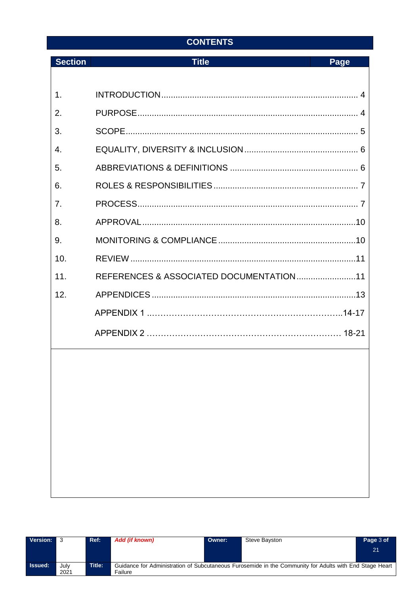# **CONTENTS**

| <b>Section</b> | <b>Title</b>                            | Page |
|----------------|-----------------------------------------|------|
|                |                                         |      |
| 1.             |                                         |      |
| 2.             |                                         |      |
| 3.             |                                         |      |
| 4.             |                                         |      |
| 5.             |                                         |      |
| 6.             |                                         |      |
| 7.             |                                         |      |
| 8.             |                                         |      |
| 9.             |                                         |      |
| 10.            |                                         |      |
| 11.            | REFERENCES & ASSOCIATED DOCUMENTATION11 |      |
| 12.            |                                         |      |
|                |                                         |      |
|                |                                         |      |
|                |                                         |      |

| Version:       |              | Ref:          | <b>Add (if known)</b> | Owner: | Steve Bayston                                                                                           | Page 3 of |
|----------------|--------------|---------------|-----------------------|--------|---------------------------------------------------------------------------------------------------------|-----------|
|                |              |               |                       |        |                                                                                                         | .21       |
| <b>Issued:</b> | Julv<br>2021 | <b>Title:</b> | Failure               |        | Guidance for Administration of Subcutaneous Furosemide in the Community for Adults with End Stage Heart |           |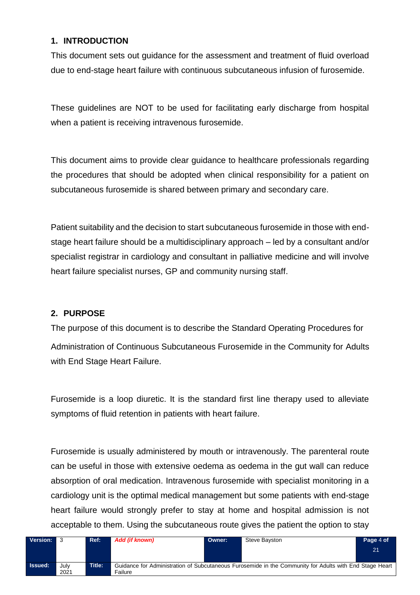### <span id="page-3-0"></span>**1. INTRODUCTION**

This document sets out guidance for the assessment and treatment of fluid overload due to end-stage heart failure with continuous subcutaneous infusion of furosemide.

These guidelines are NOT to be used for facilitating early discharge from hospital when a patient is receiving intravenous furosemide.

This document aims to provide clear guidance to healthcare professionals regarding the procedures that should be adopted when clinical responsibility for a patient on subcutaneous furosemide is shared between primary and secondary care.

Patient suitability and the decision to start subcutaneous furosemide in those with endstage heart failure should be a multidisciplinary approach – led by a consultant and/or specialist registrar in cardiology and consultant in palliative medicine and will involve heart failure specialist nurses, GP and community nursing staff.

#### <span id="page-3-1"></span>**2. PURPOSE**

The purpose of this document is to describe the Standard Operating Procedures for Administration of Continuous Subcutaneous Furosemide in the Community for Adults with End Stage Heart Failure.

Furosemide is a loop diuretic. It is the standard first line therapy used to alleviate symptoms of fluid retention in patients with heart failure.

Furosemide is usually administered by mouth or intravenously. The parenteral route can be useful in those with extensive oedema as oedema in the gut wall can reduce absorption of oral medication. Intravenous furosemide with specialist monitoring in a cardiology unit is the optimal medical management but some patients with end-stage heart failure would strongly prefer to stay at home and hospital admission is not acceptable to them. Using the subcutaneous route gives the patient the option to stay

| Version:       |              | Ref:   | <b>Add (if known)</b> | Owner: | Steve Bayston                                                                                           | Page 4 of |
|----------------|--------------|--------|-----------------------|--------|---------------------------------------------------------------------------------------------------------|-----------|
|                |              |        |                       |        |                                                                                                         | 21        |
| <b>Issued:</b> | July<br>2021 | Title: | Failure               |        | Guidance for Administration of Subcutaneous Furosemide in the Community for Adults with End Stage Heart |           |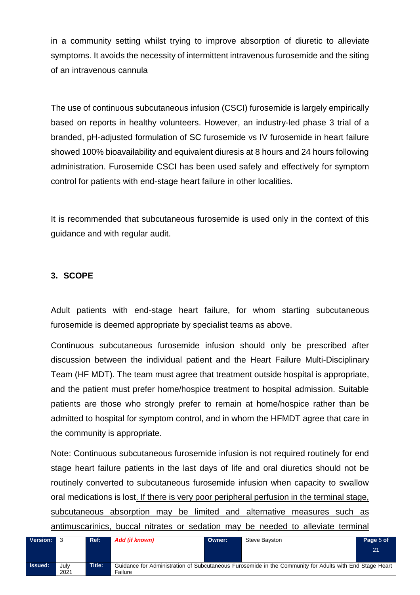in a community setting whilst trying to improve absorption of diuretic to alleviate symptoms. It avoids the necessity of intermittent intravenous furosemide and the siting of an intravenous cannula

The use of continuous subcutaneous infusion (CSCI) furosemide is largely empirically based on reports in healthy volunteers. However, an industry-led phase 3 trial of a branded, pH-adjusted formulation of SC furosemide vs IV furosemide in heart failure showed 100% bioavailability and equivalent diuresis at 8 hours and 24 hours following administration. Furosemide CSCI has been used safely and effectively for symptom control for patients with end-stage heart failure in other localities.

It is recommended that subcutaneous furosemide is used only in the context of this guidance and with regular audit.

# <span id="page-4-0"></span>**3. SCOPE**

Adult patients with end-stage heart failure, for whom starting subcutaneous furosemide is deemed appropriate by specialist teams as above.

Continuous subcutaneous furosemide infusion should only be prescribed after discussion between the individual patient and the Heart Failure Multi-Disciplinary Team (HF MDT). The team must agree that treatment outside hospital is appropriate, and the patient must prefer home/hospice treatment to hospital admission. Suitable patients are those who strongly prefer to remain at home/hospice rather than be admitted to hospital for symptom control, and in whom the HFMDT agree that care in the community is appropriate.

Note: Continuous subcutaneous furosemide infusion is not required routinely for end stage heart failure patients in the last days of life and oral diuretics should not be routinely converted to subcutaneous furosemide infusion when capacity to swallow oral medications is lost. If there is very poor peripheral perfusion in the terminal stage, subcutaneous absorption may be limited and alternative measures such as antimuscarinics, buccal nitrates or sedation may be needed to alleviate terminal

| Version: |              | Ref:   | <b>Add (if known)</b> | Owner: | Steve Bayston                                                                                           | Page 5 of |
|----------|--------------|--------|-----------------------|--------|---------------------------------------------------------------------------------------------------------|-----------|
|          |              |        |                       |        |                                                                                                         | 21        |
| Issued:  | July<br>2021 | Title: | Failure               |        | Guidance for Administration of Subcutaneous Furosemide in the Community for Adults with End Stage Heart |           |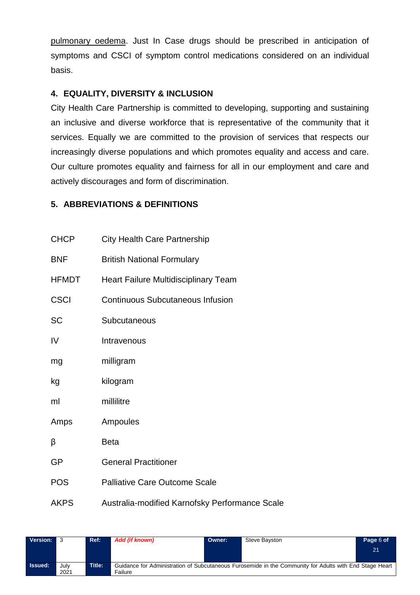pulmonary oedema. Just In Case drugs should be prescribed in anticipation of symptoms and CSCI of symptom control medications considered on an individual basis.

#### <span id="page-5-0"></span>**4. EQUALITY, DIVERSITY & INCLUSION**

City Health Care Partnership is committed to developing, supporting and sustaining an inclusive and diverse workforce that is representative of the community that it services. Equally we are committed to the provision of services that respects our increasingly diverse populations and which promotes equality and access and care. Our culture promotes equality and fairness for all in our employment and care and actively discourages and form of discrimination.

#### <span id="page-5-1"></span>**5. ABBREVIATIONS & DEFINITIONS**

| <b>CHCP</b>  | <b>City Health Care Partnership</b>            |
|--------------|------------------------------------------------|
| <b>BNF</b>   | <b>British National Formulary</b>              |
| <b>HFMDT</b> | <b>Heart Failure Multidisciplinary Team</b>    |
| <b>CSCI</b>  | <b>Continuous Subcutaneous Infusion</b>        |
| <b>SC</b>    | Subcutaneous                                   |
| IV           | Intravenous                                    |
| mg           | milligram                                      |
| kg           | kilogram                                       |
| ml           | millilitre                                     |
| Amps         | Ampoules                                       |
| β            | <b>Beta</b>                                    |
| <b>GP</b>    | <b>General Practitioner</b>                    |
| <b>POS</b>   | <b>Palliative Care Outcome Scale</b>           |
| <b>AKPS</b>  | Australia-modified Karnofsky Performance Scale |

| Version: |              | Ref:          | <b>Add (if known)</b> | Owner: | Steve Bayston                                                                                           | Page 6 of |
|----------|--------------|---------------|-----------------------|--------|---------------------------------------------------------------------------------------------------------|-----------|
|          |              |               |                       |        |                                                                                                         | 21        |
|          |              |               |                       |        |                                                                                                         |           |
| Issued:  | July<br>2021 | <b>Title:</b> | Failure               |        | Guidance for Administration of Subcutaneous Furosemide in the Community for Adults with End Stage Heart |           |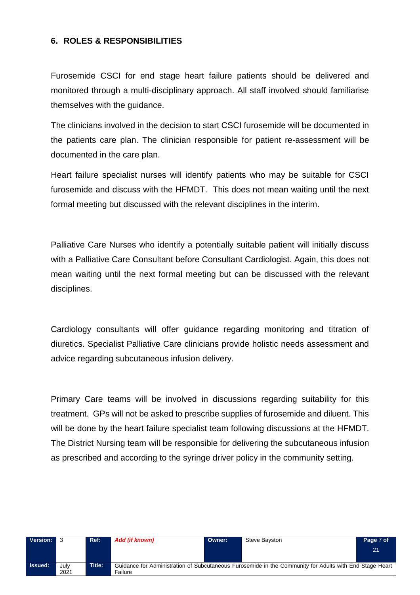#### <span id="page-6-0"></span>**6. ROLES & RESPONSIBILITIES**

Furosemide CSCI for end stage heart failure patients should be delivered and monitored through a multi-disciplinary approach. All staff involved should familiarise themselves with the guidance.

The clinicians involved in the decision to start CSCI furosemide will be documented in the patients care plan. The clinician responsible for patient re-assessment will be documented in the care plan.

Heart failure specialist nurses will identify patients who may be suitable for CSCI furosemide and discuss with the HFMDT. This does not mean waiting until the next formal meeting but discussed with the relevant disciplines in the interim.

Palliative Care Nurses who identify a potentially suitable patient will initially discuss with a Palliative Care Consultant before Consultant Cardiologist. Again, this does not mean waiting until the next formal meeting but can be discussed with the relevant disciplines.

Cardiology consultants will offer guidance regarding monitoring and titration of diuretics. Specialist Palliative Care clinicians provide holistic needs assessment and advice regarding subcutaneous infusion delivery.

Primary Care teams will be involved in discussions regarding suitability for this treatment. GPs will not be asked to prescribe supplies of furosemide and diluent. This will be done by the heart failure specialist team following discussions at the HFMDT. The District Nursing team will be responsible for delivering the subcutaneous infusion as prescribed and according to the syringe driver policy in the community setting.

| Version: |      | Ref:          | Add (if known) | Owner: | Steve Bayston                                                                                           | Page 7 of |
|----------|------|---------------|----------------|--------|---------------------------------------------------------------------------------------------------------|-----------|
|          |      |               |                |        |                                                                                                         | 21        |
|          |      |               |                |        |                                                                                                         |           |
| Issued:  | Julv | <b>Title:</b> |                |        | Guidance for Administration of Subcutaneous Furosemide in the Community for Adults with End Stage Heart |           |
|          | 2021 |               | Failure        |        |                                                                                                         |           |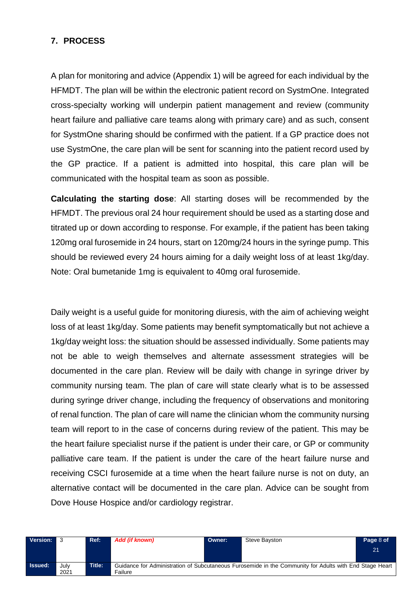# <span id="page-7-0"></span>**7. PROCESS**

A plan for monitoring and advice (Appendix 1) will be agreed for each individual by the HFMDT. The plan will be within the electronic patient record on SystmOne. Integrated cross-specialty working will underpin patient management and review (community heart failure and palliative care teams along with primary care) and as such, consent for SystmOne sharing should be confirmed with the patient. If a GP practice does not use SystmOne, the care plan will be sent for scanning into the patient record used by the GP practice. If a patient is admitted into hospital, this care plan will be communicated with the hospital team as soon as possible.

**Calculating the starting dose**: All starting doses will be recommended by the HFMDT. The previous oral 24 hour requirement should be used as a starting dose and titrated up or down according to response. For example, if the patient has been taking 120mg oral furosemide in 24 hours, start on 120mg/24 hours in the syringe pump. This should be reviewed every 24 hours aiming for a daily weight loss of at least 1kg/day. Note: Oral bumetanide 1mg is equivalent to 40mg oral furosemide.

Daily weight is a useful guide for monitoring diuresis, with the aim of achieving weight loss of at least 1kg/day. Some patients may benefit symptomatically but not achieve a 1kg/day weight loss: the situation should be assessed individually. Some patients may not be able to weigh themselves and alternate assessment strategies will be documented in the care plan. Review will be daily with change in syringe driver by community nursing team. The plan of care will state clearly what is to be assessed during syringe driver change, including the frequency of observations and monitoring of renal function. The plan of care will name the clinician whom the community nursing team will report to in the case of concerns during review of the patient. This may be the heart failure specialist nurse if the patient is under their care, or GP or community palliative care team. If the patient is under the care of the heart failure nurse and receiving CSCI furosemide at a time when the heart failure nurse is not on duty, an alternative contact will be documented in the care plan. Advice can be sought from Dove House Hospice and/or cardiology registrar.

| Version: 1 |              | Ref:   | Add (if known) | Owner: | Steve Bayston                                                                                           | Page 8 of<br>21 |
|------------|--------------|--------|----------------|--------|---------------------------------------------------------------------------------------------------------|-----------------|
| Issued:    | July<br>2021 | Title: | Failure        |        | Guidance for Administration of Subcutaneous Furosemide in the Community for Adults with End Stage Heart |                 |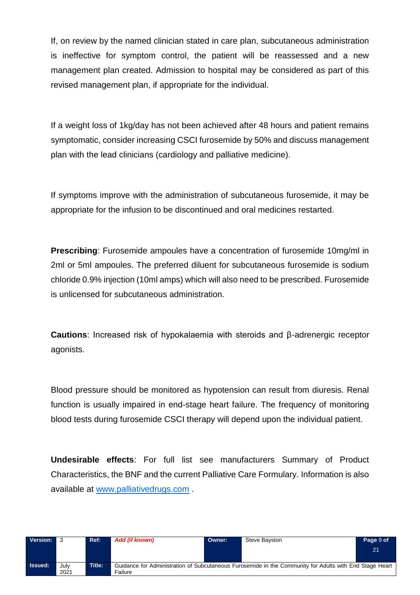If, on review by the named clinician stated in care plan, subcutaneous administration is ineffective for symptom control, the patient will be reassessed and a new management plan created. Admission to hospital may be considered as part of this revised management plan, if appropriate for the individual.

If a weight loss of 1kg/day has not been achieved after 48 hours and patient remains symptomatic, consider increasing CSCI furosemide by 50% and discuss management plan with the lead clinicians (cardiology and palliative medicine).

If symptoms improve with the administration of subcutaneous furosemide, it may be appropriate for the infusion to be discontinued and oral medicines restarted.

**Prescribing**: Furosemide ampoules have a concentration of furosemide 10mg/ml in 2ml or 5ml ampoules. The preferred diluent for subcutaneous furosemide is sodium chloride 0.9% injection (10ml amps) which will also need to be prescribed. Furosemide is unlicensed for subcutaneous administration.

**Cautions**: Increased risk of hypokalaemia with steroids and β-adrenergic receptor agonists.

Blood pressure should be monitored as hypotension can result from diuresis. Renal function is usually impaired in end-stage heart failure. The frequency of monitoring blood tests during furosemide CSCI therapy will depend upon the individual patient.

**Undesirable effects**: For full list see manufacturers Summary of Product Characteristics, the BNF and the current Palliative Care Formulary. Information is also available at [www.palliativedrugs.com](http://www.palliativedrugs.com/) .

| Version:       |              | Ref:   | Add (if known) | Owner: | Steve Bayston                                                                                           | Page 9 of |
|----------------|--------------|--------|----------------|--------|---------------------------------------------------------------------------------------------------------|-----------|
|                |              |        |                |        |                                                                                                         | 21        |
|                |              |        |                |        |                                                                                                         |           |
| <b>Issued:</b> | July<br>2021 | Title: | Failure        |        | Guidance for Administration of Subcutaneous Furosemide in the Community for Adults with End Stage Heart |           |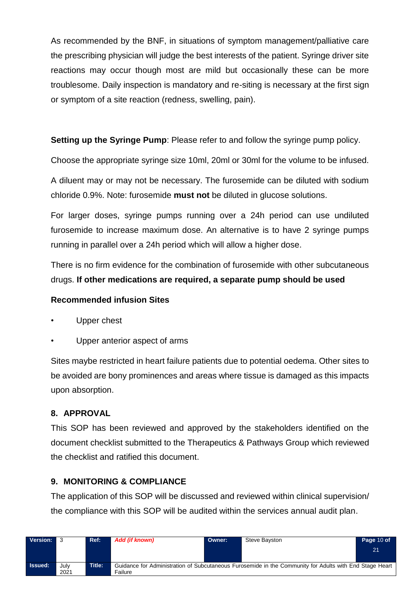As recommended by the BNF, in situations of symptom management/palliative care the prescribing physician will judge the best interests of the patient. Syringe driver site reactions may occur though most are mild but occasionally these can be more troublesome. Daily inspection is mandatory and re-siting is necessary at the first sign or symptom of a site reaction (redness, swelling, pain).

**Setting up the Syringe Pump**: Please refer to and follow the syringe pump policy.

Choose the appropriate syringe size 10ml, 20ml or 30ml for the volume to be infused.

A diluent may or may not be necessary. The furosemide can be diluted with sodium chloride 0.9%. Note: furosemide **must not** be diluted in glucose solutions.

For larger doses, syringe pumps running over a 24h period can use undiluted furosemide to increase maximum dose. An alternative is to have 2 syringe pumps running in parallel over a 24h period which will allow a higher dose.

There is no firm evidence for the combination of furosemide with other subcutaneous drugs. **If other medications are required, a separate pump should be used**

#### **Recommended infusion Sites**

- Upper chest
- Upper anterior aspect of arms

Sites maybe restricted in heart failure patients due to potential oedema. Other sites to be avoided are bony prominences and areas where tissue is damaged as this impacts upon absorption.

# <span id="page-9-0"></span>**8. APPROVAL**

This SOP has been reviewed and approved by the stakeholders identified on the document checklist submitted to the Therapeutics & Pathways Group which reviewed the checklist and ratified this document.

#### <span id="page-9-1"></span>**9. MONITORING & COMPLIANCE**

The application of this SOP will be discussed and reviewed within clinical supervision/ the compliance with this SOP will be audited within the services annual audit plan.

| Version:       |      | Ref:   | <b>Add (if known)</b> | Owner: | Steve Bayston                                                                                           | Page 10 of |
|----------------|------|--------|-----------------------|--------|---------------------------------------------------------------------------------------------------------|------------|
|                |      |        |                       |        |                                                                                                         | 21         |
|                |      |        |                       |        |                                                                                                         |            |
| <b>Issued:</b> | July | Title: |                       |        | Guidance for Administration of Subcutaneous Furosemide in the Community for Adults with End Stage Heart |            |
|                | 2021 |        | Failure               |        |                                                                                                         |            |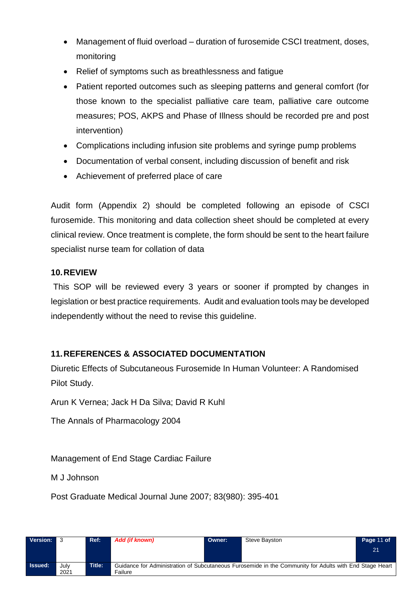- Management of fluid overload duration of furosemide CSCI treatment, doses, monitoring
- Relief of symptoms such as breathlessness and fatigue
- Patient reported outcomes such as sleeping patterns and general comfort (for those known to the specialist palliative care team, palliative care outcome measures; POS, AKPS and Phase of Illness should be recorded pre and post intervention)
- Complications including infusion site problems and syringe pump problems
- Documentation of verbal consent, including discussion of benefit and risk
- Achievement of preferred place of care

Audit form (Appendix 2) should be completed following an episode of CSCI furosemide. This monitoring and data collection sheet should be completed at every clinical review. Once treatment is complete, the form should be sent to the heart failure specialist nurse team for collation of data

#### <span id="page-10-0"></span>**10.REVIEW**

This SOP will be reviewed every 3 years or sooner if prompted by changes in legislation or best practice requirements. Audit and evaluation tools may be developed independently without the need to revise this guideline.

#### <span id="page-10-1"></span>**11.REFERENCES & ASSOCIATED DOCUMENTATION**

Diuretic Effects of Subcutaneous Furosemide In Human Volunteer: A Randomised Pilot Study.

Arun K Vernea; Jack H Da Silva; David R Kuhl

The Annals of Pharmacology 2004

Management of End Stage Cardiac Failure

M J Johnson

Post Graduate Medical Journal June 2007; 83(980): 395-401

| Version: |      | Ref:   | Add (if known) | Owner: | Steve Bayston                                                                                           | Page 11 of |
|----------|------|--------|----------------|--------|---------------------------------------------------------------------------------------------------------|------------|
|          |      |        |                |        |                                                                                                         | 21         |
|          |      |        |                |        |                                                                                                         |            |
| Issued:  | July | Title: |                |        | Guidance for Administration of Subcutaneous Furosemide in the Community for Adults with End Stage Heart |            |
|          | 2021 |        | Failure        |        |                                                                                                         |            |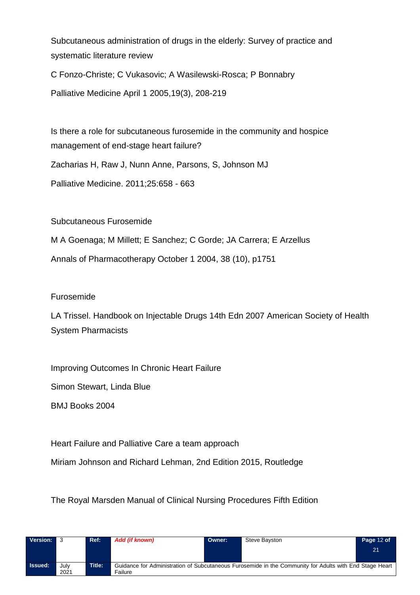Subcutaneous administration of drugs in the elderly: Survey of practice and systematic literature review

C Fonzo-Christe; C Vukasovic; A Wasilewski-Rosca; P Bonnabry

Palliative Medicine April 1 2005,19(3), 208-219

Is there a role for subcutaneous furosemide in the community and hospice management of end-stage heart failure? Zacharias H, Raw J, Nunn Anne, Parsons, S, Johnson MJ Palliative Medicine. 2011;25:658 - 663

Subcutaneous Furosemide

M A Goenaga; M Millett; E Sanchez; C Gorde; JA Carrera; E Arzellus Annals of Pharmacotherapy October 1 2004, 38 (10), p1751

Furosemide

LA Trissel. Handbook on Injectable Drugs 14th Edn 2007 American Society of Health System Pharmacists

Improving Outcomes In Chronic Heart Failure

Simon Stewart, Linda Blue

BMJ Books 2004

Heart Failure and Palliative Care a team approach

Miriam Johnson and Richard Lehman, 2nd Edition 2015, Routledge

The Royal Marsden Manual of Clinical Nursing Procedures Fifth Edition

| <b>Version:</b> |              | Ref:   | <b>Add (if known)</b> | Owner: | Steve Bayston                                                                                           | Page 12 of |
|-----------------|--------------|--------|-----------------------|--------|---------------------------------------------------------------------------------------------------------|------------|
|                 |              |        |                       |        |                                                                                                         | 21         |
|                 |              |        |                       |        |                                                                                                         |            |
| <b>Issued:</b>  | July<br>2021 | Title: | Failure               |        | Guidance for Administration of Subcutaneous Furosemide in the Community for Adults with End Stage Heart |            |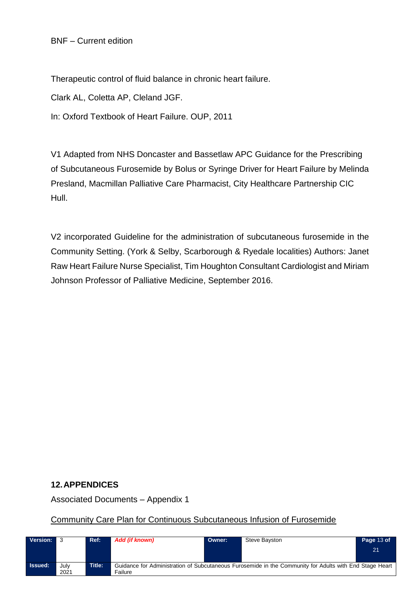BNF – Current edition

Therapeutic control of fluid balance in chronic heart failure.

Clark AL, Coletta AP, Cleland JGF.

In: Oxford Textbook of Heart Failure. OUP, 2011

V1 Adapted from NHS Doncaster and Bassetlaw APC Guidance for the Prescribing of Subcutaneous Furosemide by Bolus or Syringe Driver for Heart Failure by Melinda Presland, Macmillan Palliative Care Pharmacist, City Healthcare Partnership CIC Hull.

V2 incorporated Guideline for the administration of subcutaneous furosemide in the Community Setting. (York & Selby, Scarborough & Ryedale localities) Authors: Janet Raw Heart Failure Nurse Specialist, Tim Houghton Consultant Cardiologist and Miriam Johnson Professor of Palliative Medicine, September 2016.

#### <span id="page-12-0"></span>**12.APPENDICES**

Associated Documents – Appendix 1

Community Care Plan for Continuous Subcutaneous Infusion of Furosemide

| Version: |              | Ref:   | <b>Add (if known)</b> | Owner: | Steve Bayston                                                                                           | Page 13 of |
|----------|--------------|--------|-----------------------|--------|---------------------------------------------------------------------------------------------------------|------------|
|          |              |        |                       |        |                                                                                                         | 21         |
|          |              |        |                       |        |                                                                                                         |            |
| Issued:  | July<br>2021 | Title: | Failure               |        | Guidance for Administration of Subcutaneous Furosemide in the Community for Adults with End Stage Heart |            |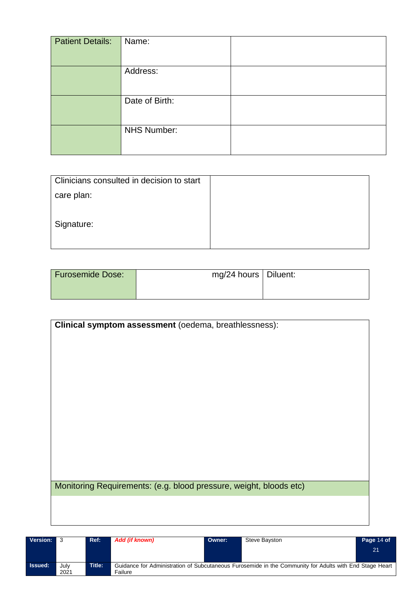| <b>Patient Details:</b> | Name:              |  |
|-------------------------|--------------------|--|
|                         | Address:           |  |
|                         | Date of Birth:     |  |
|                         | <b>NHS Number:</b> |  |

| Clinicians consulted in decision to start |  |
|-------------------------------------------|--|
| care plan:                                |  |
|                                           |  |
| Signature:                                |  |
|                                           |  |
|                                           |  |

| <b>Furosemide Dose:</b> | mg/24 hours   Diluent: |  |
|-------------------------|------------------------|--|
|                         |                        |  |

| Clinical symptom assessment (oedema, breathlessness):              |
|--------------------------------------------------------------------|
|                                                                    |
|                                                                    |
|                                                                    |
|                                                                    |
|                                                                    |
|                                                                    |
|                                                                    |
|                                                                    |
|                                                                    |
|                                                                    |
|                                                                    |
|                                                                    |
| Monitoring Requirements: (e.g. blood pressure, weight, bloods etc) |
|                                                                    |
|                                                                    |
|                                                                    |

| Version:       |              | Ref:     | <b>Add (if known)</b> | Owner: | Steve Bayston                                                                                           | Page 14 of |
|----------------|--------------|----------|-----------------------|--------|---------------------------------------------------------------------------------------------------------|------------|
|                |              |          |                       |        |                                                                                                         |            |
| <b>Issued:</b> | July<br>2021 | Title: ' | Failure               |        | Guidance for Administration of Subcutaneous Furosemide in the Community for Adults with End Stage Heart |            |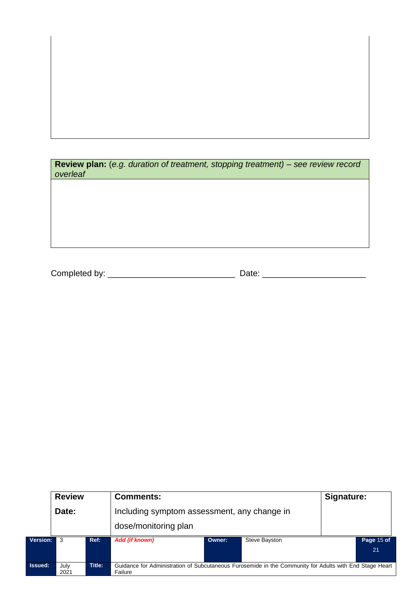**Review plan:** (*e.g. duration of treatment, stopping treatment) – see review record overleaf* 

Completed by: \_\_\_\_\_\_\_\_\_\_\_\_\_\_\_\_\_\_\_\_\_\_\_\_\_\_\_ Date: \_\_\_\_\_\_\_\_\_\_\_\_\_\_\_\_\_\_\_\_\_\_

|                 | <b>Review</b> |        | <b>Comments:</b>                                                                                                   |        |               | <b>Signature:</b> |                  |  |
|-----------------|---------------|--------|--------------------------------------------------------------------------------------------------------------------|--------|---------------|-------------------|------------------|--|
| Date:           |               |        | Including symptom assessment, any change in<br>dose/monitoring plan                                                |        |               |                   |                  |  |
| <b>Version:</b> | 3             | Ref:   | <b>Add (if known)</b>                                                                                              | Owner: | Steve Bayston |                   | Page 15 of<br>21 |  |
| <b>Issued:</b>  | July<br>2021  | Title: | Guidance for Administration of Subcutaneous Furosemide in the Community for Adults with End Stage Heart<br>Failure |        |               |                   |                  |  |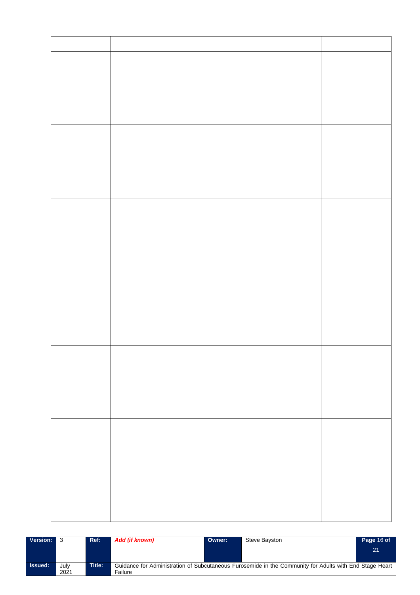| Version:       |              | Ref:   | Add (if known)                                                                                                     | Owner: | Steve Bayston | Page 16 of |  |  |
|----------------|--------------|--------|--------------------------------------------------------------------------------------------------------------------|--------|---------------|------------|--|--|
|                |              |        |                                                                                                                    |        |               | 21         |  |  |
|                |              |        |                                                                                                                    |        |               |            |  |  |
| <b>Issued:</b> | Julv<br>2021 | Title: | Guidance for Administration of Subcutaneous Furosemide in the Community for Adults with End Stage Heart<br>Failure |        |               |            |  |  |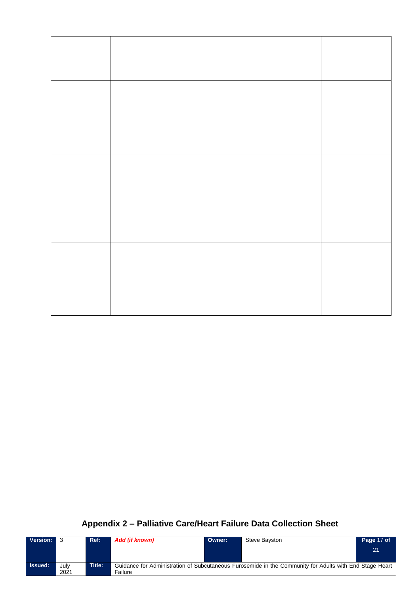# **Appendix 2 – Palliative Care/Heart Failure Data Collection Sheet**

| Version: |              | Ref:          | Add (if known)                                                                                                     | Owner: | Steve Bayston | Page 17 of |  |  |
|----------|--------------|---------------|--------------------------------------------------------------------------------------------------------------------|--------|---------------|------------|--|--|
|          |              |               |                                                                                                                    |        |               | 21         |  |  |
|          |              |               |                                                                                                                    |        |               |            |  |  |
| Issued:  | July<br>2021 | <b>Title:</b> | Guidance for Administration of Subcutaneous Furosemide in the Community for Adults with End Stage Heart<br>Failure |        |               |            |  |  |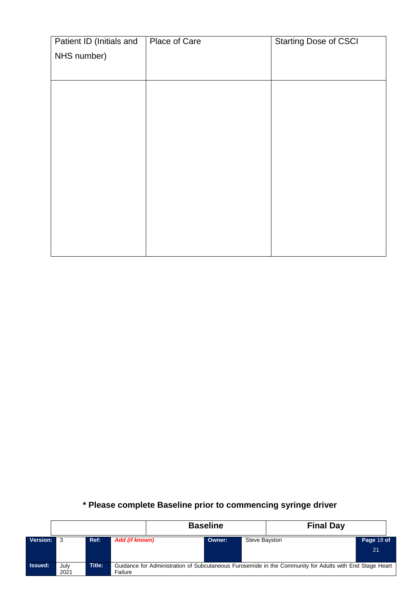| Patient ID (Initials and | Place of Care | <b>Starting Dose of CSCI</b> |
|--------------------------|---------------|------------------------------|
| NHS number)              |               |                              |
|                          |               |                              |
|                          |               |                              |
|                          |               |                              |
|                          |               |                              |
|                          |               |                              |
|                          |               |                              |
|                          |               |                              |
|                          |               |                              |
|                          |               |                              |
|                          |               |                              |
|                          |               |                              |
|                          |               |                              |
|                          |               |                              |
|                          |               |                              |
|                          |               |                              |
|                          |               |                              |

# **\* Please complete Baseline prior to commencing syringe driver**

|                |              |        |                       | <b>Baseline</b>                                                                                         |        |               | <b>Final Day</b> |                  |  |
|----------------|--------------|--------|-----------------------|---------------------------------------------------------------------------------------------------------|--------|---------------|------------------|------------------|--|
| Version:       | 3            | Ref:   | <b>Add (if known)</b> |                                                                                                         | Owner: | Steve Bayston |                  | Page 18 of<br>21 |  |
| <b>Issued:</b> | July<br>2021 | Title: | Failure               | Guidance for Administration of Subcutaneous Furosemide in the Community for Adults with End Stage Heart |        |               |                  |                  |  |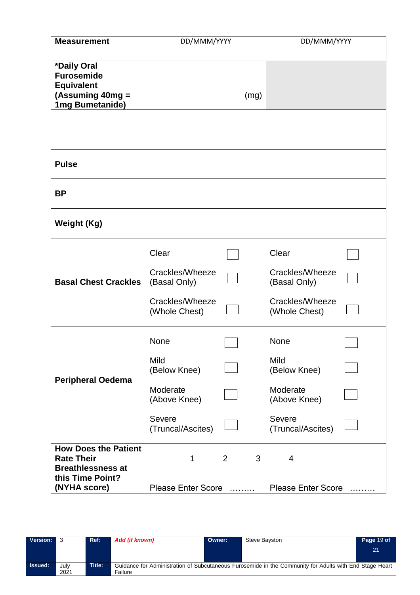| <b>Measurement</b>                                                                                               | DD/MMM/YYYY                                                                             |                     | DD/MMM/YYYY                                                                                    |  |  |
|------------------------------------------------------------------------------------------------------------------|-----------------------------------------------------------------------------------------|---------------------|------------------------------------------------------------------------------------------------|--|--|
| *Daily Oral<br><b>Furosemide</b><br><b>Equivalent</b><br>(Assuming 40mg =<br>1mg Bumetanide)                     |                                                                                         | (mg)                |                                                                                                |  |  |
| <b>Pulse</b>                                                                                                     |                                                                                         |                     |                                                                                                |  |  |
| <b>BP</b>                                                                                                        |                                                                                         |                     |                                                                                                |  |  |
| <b>Weight (Kg)</b>                                                                                               |                                                                                         |                     |                                                                                                |  |  |
| <b>Basal Chest Crackles</b>                                                                                      | Clear<br>Crackles/Wheeze<br>(Basal Only)<br>Crackles/Wheeze<br>(Whole Chest)            |                     | Clear<br>Crackles/Wheeze<br>(Basal Only)<br>Crackles/Wheeze<br>(Whole Chest)                   |  |  |
| <b>Peripheral Oedema</b>                                                                                         | None<br>Mild<br>(Below Knee)<br>Moderate<br>(Above Knee)<br>Severe<br>(Truncal/Ascites) |                     | None<br>Mild<br>(Below Knee)<br>Moderate<br>(Above Knee)<br><b>Severe</b><br>(Truncal/Ascites) |  |  |
| <b>How Does the Patient</b><br><b>Rate Their</b><br><b>Breathlessness at</b><br>this Time Point?<br>(NYHA score) | 1<br><b>Please Enter Score</b>                                                          | $\overline{2}$<br>3 | $\overline{4}$<br>Please Enter Score                                                           |  |  |

| Version:       |      | Ref:   | <b>Add (if known)</b>                                                                                   | Owner: | Steve Bayston | Page 19 of |  |  |
|----------------|------|--------|---------------------------------------------------------------------------------------------------------|--------|---------------|------------|--|--|
|                |      |        |                                                                                                         |        |               | 21         |  |  |
|                |      |        |                                                                                                         |        |               |            |  |  |
| <b>Issued:</b> | July | Title: | Guidance for Administration of Subcutaneous Furosemide in the Community for Adults with End Stage Heart |        |               |            |  |  |
|                | 2021 |        | Failure                                                                                                 |        |               |            |  |  |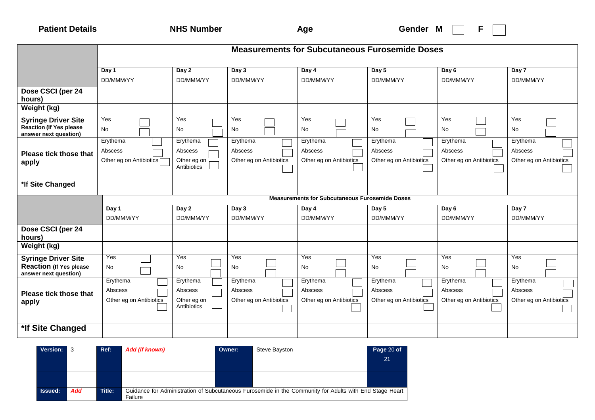**Patient Details NHS Number Age Age Gender M F** 

|                                                                                        |                                                  |                                                   |                                                       |                                                | <b>Measurements for Subcutaneous Furosemide Doses</b> |                                                |                                                |
|----------------------------------------------------------------------------------------|--------------------------------------------------|---------------------------------------------------|-------------------------------------------------------|------------------------------------------------|-------------------------------------------------------|------------------------------------------------|------------------------------------------------|
|                                                                                        |                                                  |                                                   |                                                       |                                                |                                                       |                                                |                                                |
|                                                                                        | Day 1                                            | Day 2                                             | Day 3                                                 | Day 4                                          | Day 5                                                 | Day 6                                          | Day 7                                          |
|                                                                                        | DD/MMM/YY                                        | DD/MMM/YY                                         | DD/MMM/YY                                             | DD/MMM/YY                                      | DD/MMM/YY                                             | DD/MMM/YY                                      | DD/MMM/YY                                      |
| Dose CSCI (per 24<br>hours)                                                            |                                                  |                                                   |                                                       |                                                |                                                       |                                                |                                                |
| Weight (kg)                                                                            |                                                  |                                                   |                                                       |                                                |                                                       |                                                |                                                |
| <b>Syringe Driver Site</b><br><b>Reaction (If Yes please</b><br>answer next question)  | Yes<br><b>No</b>                                 | Yes<br>No                                         | Yes<br>No                                             | Yes<br>No                                      | Yes<br>No                                             | Yes<br>No                                      | Yes<br>No                                      |
| Please tick those that<br>apply                                                        | Erythema<br>Abscess<br>Other eg on Antibiotics [ | Erythema<br>Abscess<br>Other eg on<br>Antibiotics | Erythema<br>Abscess<br>Other eg on Antibiotics        | Erythema<br>Abscess<br>Other eg on Antibiotics | Erythema<br>Abscess<br>Other eg on Antibiotics        | Erythema<br>Abscess<br>Other eg on Antibiotics | Erythema<br>Abscess<br>Other eg on Antibiotics |
| *If Site Changed                                                                       |                                                  |                                                   |                                                       |                                                |                                                       |                                                |                                                |
|                                                                                        |                                                  |                                                   | <b>Measurements for Subcutaneous Furosemide Doses</b> |                                                |                                                       |                                                |                                                |
|                                                                                        | Day 1                                            | Day 2                                             | Day 3                                                 | Day 4                                          | Day 5                                                 | Day 6                                          | Day 7                                          |
|                                                                                        | DD/MMM/YY                                        | DD/MMM/YY                                         | DD/MMM/YY                                             | DD/MMM/YY                                      | DD/MMM/YY                                             | DD/MMM/YY                                      | DD/MMM/YY                                      |
| Dose CSCI (per 24<br>hours)                                                            |                                                  |                                                   |                                                       |                                                |                                                       |                                                |                                                |
| Weight (kg)                                                                            |                                                  |                                                   |                                                       |                                                |                                                       |                                                |                                                |
| <b>Syringe Driver Site</b><br><b>Reaction (If Yes please)</b><br>answer next question) | Yes<br><b>No</b>                                 | Yes<br>No                                         | Yes<br>No                                             | Yes<br>No                                      | Yes<br>No                                             | Yes<br>No                                      | Yes<br>No                                      |
| <b>Please tick those that</b><br>apply                                                 | Erythema<br>Abscess<br>Other eg on Antibiotics   | Erythema<br>Abscess<br>Other eg on<br>Antibiotics | Erythema<br>Abscess<br>Other eg on Antibiotics        | Erythema<br>Abscess<br>Other eg on Antibiotics | Erythema<br>Abscess<br>Other eg on Antibiotics        | Erythema<br>Abscess<br>Other eg on Antibiotics | Erythema<br>Abscess<br>Other eg on Antibiotics |
| *If Site Changed                                                                       |                                                  |                                                   |                                                       |                                                |                                                       |                                                |                                                |

| <b>Version:</b> |            | Ref:   | Add (if known)                                                                                          | Owner: | Steve Bayston | Page 20 of |  |
|-----------------|------------|--------|---------------------------------------------------------------------------------------------------------|--------|---------------|------------|--|
|                 |            |        |                                                                                                         |        |               | 21         |  |
|                 |            |        |                                                                                                         |        |               |            |  |
|                 |            |        |                                                                                                         |        |               |            |  |
|                 |            |        |                                                                                                         |        |               |            |  |
| Issued:         | <b>Add</b> | Title: | Guidance for Administration of Subcutaneous Furosemide in the Community for Adults with End Stage Heart |        |               |            |  |
|                 |            |        | Failure                                                                                                 |        |               |            |  |